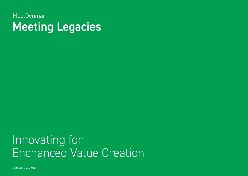MeetDenmark Meeting Legacies

# Innovating for Enchanced Value Creation

© MeetDenmark 2020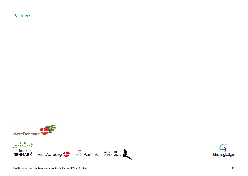# Partners



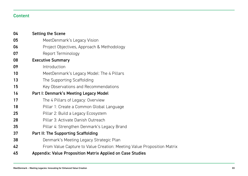# Content

| 04 | <b>Setting the Scene</b>                                               |
|----|------------------------------------------------------------------------|
| 05 | MeetDenmark's Legacy Vision                                            |
| 06 | Project Objectives, Approach & Methodology                             |
| 07 | Report Terminology                                                     |
| 08 | <b>Executive Summary</b>                                               |
| 09 | Introduction                                                           |
| 10 | MeetDenmark's Legacy Model: The 4 Pillars                              |
| 13 | The Supporting Scaffolding                                             |
| 15 | Key Observations and Recommendations                                   |
| 16 | Part I: Denmark's Meeting Legacy Model                                 |
| 17 | The 4 Pillars of Legacy: Overview                                      |
| 18 | Pillar 1: Create a Common Global Language                              |
| 25 | Pillar 2: Build a Legacy Ecosystem                                     |
| 28 | Pillar 3: Activate Danish Outreach                                     |
| 35 | Pillar 4: Strengthen Denmark's Legacy Brand                            |
| 37 | Part II: The Supporting Scaffolding                                    |
| 38 | Denmark's Meeting Legacy Strategic Plan                                |
| 42 | From Value Capture to Value Creation: Meeting Value Proposition Matrix |
| 45 | <b>Appendix: Value Proposition Matrix Applied on Case Studies</b>      |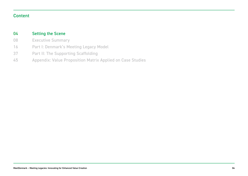# Content

#### Setting the Scene 04

- Executive Summary 08
- Part I: Denmark's Meeting Legacy Model 16
- Part II: The Supporting Scaffolding 37
- Appendix: Value Proposition Matrix Applied on Case Studies 45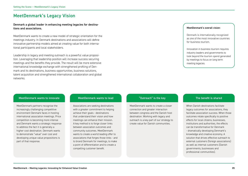# MeetDenmark's Legacy Vision

#### Denmark a global leader in enhancing meeting legacies for destinations and associations.

MeetDenmark wants to create a new model of strategic orientation for the meetings industry. In Denmark destinations and associations will define innovative partnership models aimed at creating value for both international participants and local stakeholders.

Leadership in legacy and meeting outreach is a powerful value proposition. Leveraging that leadership position will increase success securing meetings and the benefits they provide. The result will be more extensive international knowledge exchange with strengthened profiling of Denmark and its destinations, business opportunities, business solutions, talent acquisition and strengthened international collaboration and global networks.

#### MeetDenmark's overall vision:

Denmark is internationally recognized as one of the most innovative countries for business tourism.

Innovation in business tourism requires industry leaders and governments to look beyond the tourism spend generated by meetings to focus on long term meeting legacies.

#### MeetDenmark wants to innovate MeetDenmark wants to lead "Outreach" is the key The benefit is shared

MeetDenmark partners recognise the increasingly challenging competitive environment Denmark faces in hosting international association meetings. Price competition is becoming more intense and Denmark wants a strategic response to address the fact it is generally a higher cost destination. Denmark wants to demonstrate "value" over cost and developing unique value propositions is part of that response.

Associations are seeking destinations with a greater commitment to helping achieve their goals - destinations that understand their vision and how meetings can enhance their mission. A key method is to forge closer links between association outcomes and community outcomes. MeetDenmark wants to create a world leading offer to associations that forges those links - and to brand Denmark for meetings, to make a point of differentiation and to create a compelling customer benefit.

MeetDenmark wants to create a closer connection and greater interaction between congress and the Danish host destination. Working with legacy and outreach is a key part of our strategy to create value for Danish communities.

When Danish destinations facilitate legacy outcomes for associations, they facilitate association success. When those outcomes relate specifically to positive effects for local citizens, businesses, institutions and authorities, the effects can be transformative for Denmark - dramatically developing Denmark's knowledge and creative economy. A solution that drives effective outreach to external customers (foreign associations) as well as internal customers (Danish governments, businesses and professional communities).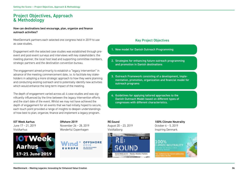# Project Objectives, Approach & Methodology

#### How can destinations best encourage, plan, organize and finance outreach activities?

MeetDenmark partners each selected one congress held in 2019 to use as case studies.

Engagement with the selected case studies was established through preevent and post-event surveys and interviews with key stakeholders: the meeting planner, the local host lead and supporting committee members. strategic partners and the destination convention bureau.

The engagement aimed primarily to establish a "legacy intervention" in advance of the meeting commencement date, i.e. to facilitate key stakeholders in adopting a more strategic approach to how they were planning and conducting existing outreach and to potentially identify new activities which would enhance the long term impact of the meeting.

The depth of engagement varied across all 4 case studies and was significantly influenced by the time between the legacy intervention efforts and the start date of the event. Whilst we may not have achieved the depth of engagement for all events that we had initially hoped to secure, each touch point provided a range of insights to deepen understandings of how best to plan, organize, finance and implement a legacy program.

#### IOT Week Aarhus June 17 – 21, 2019 VisitAarhus



Offshore 2019 November 26 – 28, 2019 Wonderful Copenhagen



### Key Project Objectives

- 1. New model for Danish Outreach Programming
- 2. Strategies for enhancing future outreach programming and promotion in Danish destinations
- 3. Outreach Framework consisting of a development, implementation, promotion, organization and financial model for outreach programs
- 4. Guidelines for applying tailored approaches to the Danish Outreach Model based on different types of congresses with different characteristics.

RE:Sound August 20 – 23, 2019 VisitAalborg



100% Climate Neutrality October 4 – 5, 2019 Inspiring Denmark

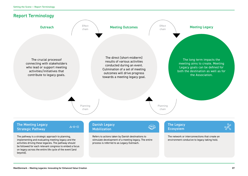



#### The Meeting Legacy Strategic Pathway

The pathway is a strategic approach to planning, implementing and evaluating meeting legacy and the activities driving these legacies. The pathway should be followed for each relevant congress to embed a focus on legacy across the entire life cycle of the event (and beyond).

#### Danish Legacy Mobilization

 $\triangle$ 

Refers to actions taken by Danish destinations to stimulate development of a meeting legacy. The entire process is referred to as Legacy Outreach.

The Legacy Ecosystem



The network or interconnections that create an environment conducive to legacy taking hold.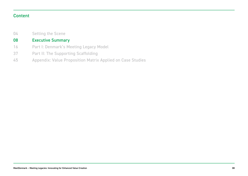# Content

Setting the Scene 04

#### Executive Summary 08

- Part I: Denmark's Meeting Legacy Model 16
- Part II: The Supporting Scaffolding 37
- Appendix: Value Proposition Matrix Applied on Case Studies 45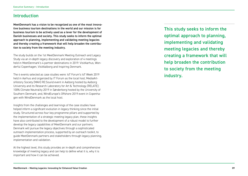# Introduction

MeetDenmark has a vision to be recognized as one of the most innovative business tourism destinations in the world and our mission is for business tourism to be actively used as a lever for the development of Danish businesses and society. This study seeks to inform the optimal approach to planning, implementing and validating meeting legacies and thereby creating a framework that will help broaden the contribution to society from the meeting industry.

The study builds on the 1st MeetDenmark Meeting Outreach and Legacy Study via an in-depth legacy discovery and exploration of 4 meetings held in MeetDenmark's 4 partner destinations in 2019: VisitAarhus, Wonderful Copenhagen, VisitAalborg and Inspiring Denmark.

The 4 events selected as case studies were: IoT Forum's IoT Week 2019 held in Aarhus and organized by IT Forum as the local host; MediaArtsHistory Society (MAH) RE:Sound event in Aalborg hosted by Aalborg University and its Research Laboratory for Art & Technology (RELATE); 100% Climate Neutrality 2019 in Sønderborg hosted by the University of Southern Denmark; and, WindEurope's Offshore 2019 event in Copenhagen with WindDenmark as the local host.

Insights from the challenges and learnings of the case studies have helped inform a significant evolution in legacy thinking since the initial study. Structured across four key programme pillars and supported by the implementation of a strategic meeting legacy plan, these insights have also contributed to the development of a robust model to further develop the legacy capabilities of MeetDenmark and our partners. Denmark will pursue the legacy objectives through a sophisticated outreach implementation process, supported by an outreach toolkit, to guide MeetDenmark partners and stakeholders through legacy planning, implementation and validation.

At the highest level, this study provides an in-depth and comprehensive knowledge of meeting legacy and can help to define what it is, why it is important and how it can be achieved.

This study seeks to inform the optimal approach to planning, implementing and validating meeting legacies and thereby creating a framework that will help broaden the contribution to society from the meeting industry.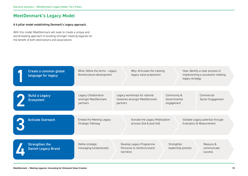# MeetDenmark's Legacy Model

#### A 4 pillar model establishing Denmark's Legacy approach.

With this model MeetDenmark will seek to create a unique and world-leading approach to building stronger meeting legacies for the benefit of both destinations and associations

| Create a common global<br>language for legacy       | What: Define the terms - Legacy<br>Nomenclature development | Why: Articulate the meeting<br>legacy value proposition                   | legacy strategy                           | How: Identify a clear process to<br>implementing a successful meeting |
|-----------------------------------------------------|-------------------------------------------------------------|---------------------------------------------------------------------------|-------------------------------------------|-----------------------------------------------------------------------|
| <b>Build a Legacy</b><br><b>Ecosystem</b>           | Legacy Collaboration<br>amongst MeetDenmark<br>partners     | Legacy workshops for national<br>networks amongst MeetDenmark<br>partners | Community &<br>Governmental<br>engagement | Commercial<br>Sector Engagement                                       |
| <b>Activate Outreach</b>                            | Embed the Meeting Legacy<br>Strategic Pathway               | Activate the Legacy Mobilization<br>process (bid & post bid)              |                                           | Validate Legacy potential through<br>Evaluation & Measurement         |
| <b>Strengthen the</b><br><b>Danish Legacy Brand</b> | Define strategic<br>messaging fundamentals                  | Develop Legacy Programme<br>Personas to reinforce brand<br>narrative      | Strengthen<br>leadership position         | Measure &<br>communicate<br><b>SUCCESS</b>                            |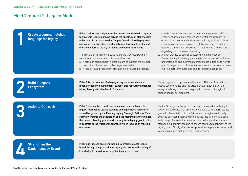# MeetDenmark's Legacy Model

| Create a common global<br>language for legacy       | Pillar 1 addresses a significant bottleneck identified with regards<br>to strategic legacy planning across the spectrum of stakeholders<br>- the lack of clarity as to what "legacy" entails, how legacy could<br>add value to stakeholders and finally, and how to efficiently and<br>effectively pursue legacy to realize and optimize its value.<br>The first pillar centers on 3 building blocks that MeetDenmark<br>wants to take a leadership role in establishing:<br>a. A common global legacy nomenclature to support the develop-<br>ment of a coherent and unified legacy narrative.<br>b. A legacy value proposition "elevator pitch" tailored for legacy | stakeholders to enhance and accelerate engagement efforts.<br>Prominent articulation of meetings as vital contributors to<br>economic and societal development will play a pivotal role in<br>enhancing awareness across the global meetings industry,<br>business community, governmental institutions and the public<br>regarding the true value of meetings.<br>c. A clear process to deliver successful meeting legacies.<br>Demonstrating the legacy planning & effect chain will enhance<br>understanding and alignment across stakeholders as to how to<br>plan for legacy and to illustrate the connection between a meet-<br>ing, its short term outcomes and its long term legacies. |
|-----------------------------------------------------|-----------------------------------------------------------------------------------------------------------------------------------------------------------------------------------------------------------------------------------------------------------------------------------------------------------------------------------------------------------------------------------------------------------------------------------------------------------------------------------------------------------------------------------------------------------------------------------------------------------------------------------------------------------------------|------------------------------------------------------------------------------------------------------------------------------------------------------------------------------------------------------------------------------------------------------------------------------------------------------------------------------------------------------------------------------------------------------------------------------------------------------------------------------------------------------------------------------------------------------------------------------------------------------------------------------------------------------------------------------------------------|
| <b>Build a Legacy</b><br><b>Ecosystem</b>           | Pillar 2 is the creation of a legacy ecosystem to enable and<br>mobilize capacity development, support and resourcing amongst<br>all key legacy stakeholders in Denmark.                                                                                                                                                                                                                                                                                                                                                                                                                                                                                              | This ecosystem comprises MeetDenmark, National Associations,<br>Public Sector entities and the private sector. Each part of the<br>ecosystem brings their own unique attributes and strengths to<br>support legacy development.                                                                                                                                                                                                                                                                                                                                                                                                                                                                |
| <b>Activate Outreach</b>                            | Pillar 3 defines the crucial processes to activate outreach for<br>legacy. All meeting legacy planning and implementation efforts<br>should be guided by the Meeting Legacy Strategic Pathway. This<br>Pathway ensures the destination and the meeting planner initiate<br>their event planning process with a long-term legacy goal in mind,<br>in contrast to the traditional approach which focuses on meeting<br>outcomes.                                                                                                                                                                                                                                        | Via the Strategic Pathway the meeting is designed specifically to<br>deliver on outcomes that are most conducive to long term legacy<br>goals. Implementation of this Pathway is through a continually<br>evolving outreach process which diffuses legacy efforts across a<br>wide range of stakeholders to ensure broad support, whilst also<br>streamlining decision making to ensure continued alignment to the<br>legacy goals. Finally, this process prescribes legacy monitoring and<br>validation as a crucial step to all legacy efforts.                                                                                                                                              |
| <b>Strengthen the</b><br><b>Danish Legacy Brand</b> | Pillar 4 is focused on strengthening Denmark's global legacy<br>brand through the promotion of legacy successes and sharing of<br>knowledge to help develop a global legacy movement.                                                                                                                                                                                                                                                                                                                                                                                                                                                                                 |                                                                                                                                                                                                                                                                                                                                                                                                                                                                                                                                                                                                                                                                                                |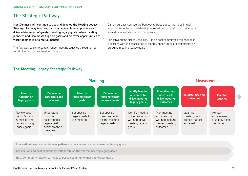# The Strategic Pathway

MeetDenmark will continue to use and develop the Meeting Legacy Strategic Pathway to strengthen the legacy planning process and drive achievement of greater meeting legacy goals. When meeting planners and local hosts align on goals and discover opportunities to work together it is to mutual benefit.

The Pathway seeks to build stronger meeting legacies through structured planning and evaluation processes.

Danish bureaus can use the Pathway to build support for bids in their local communities, and to develop value adding propositions to strengthen and differentiate their bid proposals.

For conventions already secured, Danish host committees can engage in a process with the association to identify opportunities to collaborate on pursuing meeting legacy goals.

# The Meeting Legacy Strategic Pathway



International Association follows pathway to pursue association's meeting legacy goals

Association and host community collaborate on the shared meeting legacy goals

Host Community follows pathway to pursue community meeting legacy goals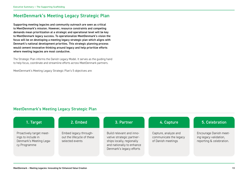# MeetDenmark's Meeting Legacy Strategic Plan

Supporting meeting legacies and community outreach are seen as critical to MeetDenmark's mission. However, resource constraints and competing demands mean prioritization at a strategic and operational level will be key to MeetDenmark legacy success. To operationalize MeetDenmark's vision the focus will be on developing a meeting legacy strategic plan which aligns with Denmark's national development priorities. This strategic planning process would cement innovative thinking around legacy and help prioritize efforts where meeting legacies are most conductive.

The Strategic Plan informs the Danish Legacy Model. It serves as the guiding hand to help focus, coordinate and streamline efforts across MeetDenmark partners.

MeetDenmark's Meeting Legacy Strategic Plan's 5 objectives are:

## MeetDenmark's Meeting Legacy Strategic Plan

| 1. Target                                                                                 | 2. Embed                                                               | 3. Partner                                                                                                                                  | 4. Capture                                                           | 5. Celebration                                                               |
|-------------------------------------------------------------------------------------------|------------------------------------------------------------------------|---------------------------------------------------------------------------------------------------------------------------------------------|----------------------------------------------------------------------|------------------------------------------------------------------------------|
| Proactively target meet-<br>ings to include in<br>Denmark's Meeting Lega-<br>cy Programme | Embed legacy through-<br>out the lifecycle of these<br>selected events | Build relevant and inno-<br>vative strategic partner-<br>ships locally, regionally<br>and nationally to enhance<br>Denmark's legacy efforts | Capture, analyze and<br>communicate the legacy<br>of Danish meetings | Encourage Danish meet-<br>ing legacy validation,<br>reporting & celebration. |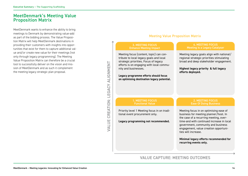# MeetDenmark's Meeting Value Proposition Matrix

MeetDenmark wants to enhance the ability to bring meetings to Denmark by demonstrating value-add as part of the bidding process. The Value Proposition Matrix will help MeetDenmark destinations in providing their customers with insights into opportunities that exist for them to capture additional value and/or create new value for their meetings (not only through legacy programming). The Meeting Value Proposition Matrix can therefore be a crucial tool to successfully deliver on the vision and mission of MeetDenmark and as such it complement the meeting legacy strategic plan proposal.

#### 3. MEETING FOCUS Enhance Meeting Impact Meeting focus (content, topic) can contribute to local legacy goals and local strategic priorities. Focus of legacy efforts is on engaging with local community and businesses. **Legacy programme efforts should focus on optimising destination legacy potential.** Meeting legacy goals align with national/ regional strategic priorities stimulating broad and deep stakeholder engagement. **Highest legacy priority & full legacy efforts deployed.** Meeting focus in on optimising ease of business for meeting planner/host. In the case of a recurring meeting, overtime-and with continued increase in local government, community and business engagement, value creation opportunities will increase. **Minimal legacy efforts recommended for recurring events only.** Priority level 1 Meeting focus in on traditional event procurement only. **Legacy programming not recommended.** 1. MEETING FOCUS Functional Value 4. MEETING FOCUS Meeting is a Legacy Catalyser 2. MEETING FOCUS Ease Of Doing Business Meeting Value Proposition Matrix

# VALUE CAPTURE: MEETING OUTCOMES

# CREATION: LEGACY ALIGNMENT VALUE CREATION: LEGACY ALIGNMENT **VALUE**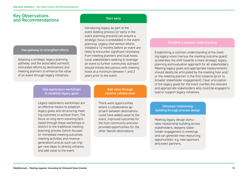# Key Observations and Recommendations

#### Use pathway to strengthen efforts

Adopting a strategic legacy planning pathway, and the associated outreach, stimulates efforts by destinations and meeting planners to enhance the value of an event through legacy initiatives.

#### Use exploratory workshops to establish legacy goals

Legacy exploratory workshops are an effective means to establish legacy goals and structuring meeting outcomes to achieve them. The focus on long term visioning facilitated through these workshops is distinct to the traditional meeting planning process (which focuses on immediate meeting outcomes, meeting activities and revenue generation) and as such can trigger new ideas to directly enhance and add value to the event.

#### Start early

Introducing legacy as part of the event bidding process (or early in the event planning process) can ensure a strategic focus is embedded in the event planning. Legacy intervention efforts initiated 6-12 months before an event are likely to encounter significant resistance from meeting planners and local hosts. Local stakeholders seeking to leverage an event to further community outreach should initiate discussions with meeting hosts at a minimum between 1 and 2 years prior to the event.

#### Add value through national collaboration

There were opportunities where a collaborative approach between destinations could have added value to the event, improved outcomes for the host community and also provided opportunities for the other Danish destinations.

#### Establish a common understanding

Establishing a common understanding of the meeting legacy vision (versus the meeting outcome goals) accelerates the shift towards a more strategic legacy planning and evaluation approach for all stakeholders. Meeting legacy goals and appropriate measurements should ideally be articulated by the meeting host and/ or the meeting planner in the first instance (prior to broader stakeholder engagement). Clear articulation of the legacy goals for the event clarifies the relevant and appropriate stakeholders who could be engaged to lead or support legacy initiatives.

#### Stimulate relationship building through process design

Meeting legacy design stimulates relationship building across stakeholders, deepens stakeholder engagement in meetings and can generate new resourcing opportunities- e.g. new sponsors and event partners.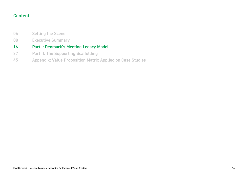# Content

- Setting the Scene 04
- Executive Summary 08

#### Part I: Denmark's Meeting Legacy Model 16

- Part II: The Supporting Scaffolding 37
- Appendix: Value Proposition Matrix Applied on Case Studies 45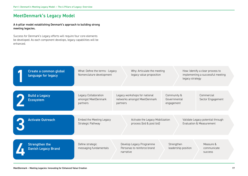# MeetDenmark's Legacy Model

A 4-pillar model establishing Denmark's approach to building strong meeting legacies.

Success for Denmark's Legacy efforts will require four core elements be developed. As each component develops, legacy capabilities will be enhanced.

| Create a common global<br>language for legacy       | What: Define the terms - Legacy<br>Nomenclature development | Why: Articulate the meeting<br>legacy value proposition                   | legacy strategy                           | How: Identify a clear process to<br>implementing a successful meeting |
|-----------------------------------------------------|-------------------------------------------------------------|---------------------------------------------------------------------------|-------------------------------------------|-----------------------------------------------------------------------|
| <b>Build a Legacy</b><br><b>Ecosystem</b>           | Legacy Collaboration<br>amongst MeetDenmark<br>partners     | Legacy workshops for national<br>networks amongst MeetDenmark<br>partners | Community &<br>Governmental<br>engagement | Commercial<br>Sector Engagement                                       |
| <b>Activate Outreach</b>                            | Embed the Meeting Legacy<br>Strategic Pathway               | Activate the Legacy Mobilization<br>process (bid & post bid)              |                                           | Validate Legacy potential through<br>Evaluation & Measurement         |
| <b>Strengthen the</b><br><b>Danish Legacy Brand</b> | Define strategic<br>messaging fundamentals                  | Develop Legacy Programme<br>Personas to reinforce brand<br>narrative      | Strengthen<br>leadership position         | Measure &<br>communicate<br><b>SUCCESS</b>                            |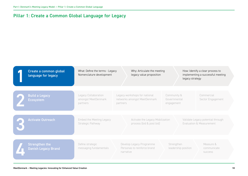# Pillar 1: Create a Common Global Language for Legacy

| Create a common global<br>language for legacy       | What: Define the terms - Legacy<br>Nomenclature development | Why: Articulate the meeting<br>legacy value proposition                   |                                           | legacy strategy     | How: Identify a clear process to<br>implementing a successful meeting    |
|-----------------------------------------------------|-------------------------------------------------------------|---------------------------------------------------------------------------|-------------------------------------------|---------------------|--------------------------------------------------------------------------|
| <b>Build a Legacy</b><br><b>Ecosystem</b>           | Legacy Collaboration<br>amongst MeetDenmark<br>partners     | Legacy workshops for national<br>networks amongst MeetDenmark<br>partners | Community &<br>Governmental<br>engagement |                     | Commercial<br>Sector Engagement                                          |
| <b>Activate Outreach</b>                            | <b>Embed the Meeting Legacy</b><br>Strategic Pathway        | Activate the Legacy Mobilization<br>process (bid & post bid)              |                                           |                     | Validate Legacy potential through<br><b>Evaluation &amp; Measurement</b> |
| <b>Strengthen the</b><br><b>Danish Legacy Brand</b> | Define strategic<br>messaging fundamentals                  | Develop Legacy Programme<br>Personas to reinforce brand<br>narrative      | Strengthen                                | leadership position | Measure &<br>communicate<br><b>SUCCESS</b>                               |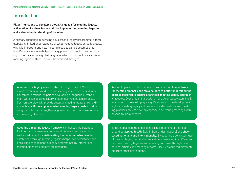# Introduction

Pillar 1 functions to develop a global language for meeting legacy, articulation of a clear framework for implementing meeting legacies and a shared understanding of its value.

A primary challenge in pursuing a successful legacy programme is there globally is limited understanding of what meeting legacy actually entails, why it is important and how meeting legacies can be accomplished. MeetDenmark wants to help fill this gap in understanding by contributing to the creation of a global language, which in turn will drive a global meeting legacy culture. This will be achieved through:

Adoption of a legacy nomenclature throughout all of MeetDenmark's destinations and used consistently in all external and internal communications. As part of developing a language, MeetDenmark will develop a repository of potential meeting legacy goals. Such an overview will provide potential meeting legacy stakeholders with specific examples of what meeting legacy goals could be sought and further strengthen alignment across local stakeholders and meeting planners.

Adopting a meeting legacy framework enhances the potential for international meetings to be conduits of value creation as well as value capture. Articulating the potential value creation established through meeting legacies helps lower resistance and encourage engagement in legacy programmes by international meeting planners and local stakeholders.

Articulating a set of clear definitions will also create a **pathway** for meeting planners and stakeholders to better understand the process required to ensure a strategic meeting legacy approach is adopted. Over time this articulation of a clear legacy planning & evaluation process will play a significant role in the development of a global meeting legacy culture as more destinations and meeting planners seek to develop capacity in delivering meetings with beyond-tourism impacts.

To develop a leadership position, each component of the Pillar should be **applied locally** (within Danish destinations) and **show**cased nationally and internationally. By adopting a consistent use of meeting legacy nomenclature and demonstrating the difference between meeting legacies and meeting outcomes through case studies, articles and meeting reports, MeetDenmark will differentiate from other destinations.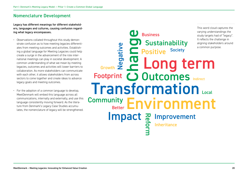# Nomenclature Development

Legacy has different meanings for different stakeholders, languages and cultures, causing confusion regarding what legacy encompasses.

- Observations collated throughout this study demonstrate confusion as to how meeting legacies differentiates from meeting outcomes and activities. Establishing a global language for Meeting Legacies could help create a surge in the advancement of the role international meetings can play in societal development. A common understanding of what we mean by meeting legacies, outcomes and activities will lower barriers to collaboration. As more stakeholders can communicate with each other, it allows stakeholders from across sectors to come together and create ideas to advance legacy goals and meeting outcomes.
- For the adoption of a common language to develop, MeetDenmark will embed this language across all communications, internally and externally, and use this language consistently moving forward. As the literature from Denmark's Legacy Case Studies accumulates, the nomenclature of legacy will be strengthened.

Change Footprint **OUtcomes** Indirect Transformation Positive **Sustainability Community Reformant**<br> **Confinite**<br> **B**<br> **B** Growth Negative Inheritance Society Better **CD** Business Impact Long term Environment Local varying understandings the study targets had of "legacy". It reflects the challenge in aligning stakeholders around a common purpose.

This word cloud captures the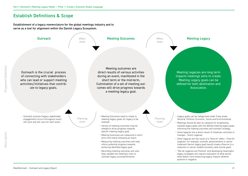# Establish Definitions & Scope

Establishment of a legacy nomenclature for the global meetings industry and to serve as a tool for alignment within the Danish Legacy Ecosystem.

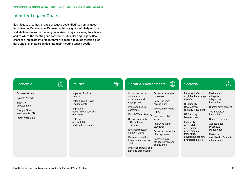# Identify Legacy Goals

Each legacy area has a range of legacy goals distinct from a meeting outcome. Defining specific meeting legacy goals will help ensure stakeholders focus on the long term vision they are aiming to achieve and to which the meeting can contribute. This Meeting Legacy Goal chart can integrate into MeetDenmark's toolkit to guide meeting planners and stakeholders in defining their meeting legacy goal(s).

| <b>Economic</b>                                                                                                                         | mm | <b>Political</b>                                                                                                                                                       | $\textcolor{red}{\widehat{\mathbb{m}}}$ | <b>Social &amp; Environmental</b>                                                                                                                                                                                                                                                                                                     | ₩                                                                                                                                                                                                                                                                       | <b>Sectorial</b>                                                                                                                                                                                                                                                                  | &<br>&^&                                                                                                                                                                                                                                    |
|-----------------------------------------------------------------------------------------------------------------------------------------|----|------------------------------------------------------------------------------------------------------------------------------------------------------------------------|-----------------------------------------|---------------------------------------------------------------------------------------------------------------------------------------------------------------------------------------------------------------------------------------------------------------------------------------------------------------------------------------|-------------------------------------------------------------------------------------------------------------------------------------------------------------------------------------------------------------------------------------------------------------------------|-----------------------------------------------------------------------------------------------------------------------------------------------------------------------------------------------------------------------------------------------------------------------------------|---------------------------------------------------------------------------------------------------------------------------------------------------------------------------------------------------------------------------------------------|
| <b>Business Growth</b><br>Exports / Trade<br>Industry<br>Development<br>Foreign Direct<br>Investments (FDI)<br><b>Talent Attraction</b> |    | Impacts of policy<br>reform<br>Voter turnout (Civic<br>Engagement)<br>Improved<br>Government services<br>outcomes<br>Political<br>accountability<br>Reduced corruption |                                         | Impacts of public<br>awareness,<br>acceptance and<br>engagement<br>Improved health<br>outcomes<br>Food & Water Security<br>Carbon Neutrality<br>/ Green Energy<br><b>Transition</b><br>Enhanced sustain-<br>ability in Cities<br>Reduced mortality<br>Lower unemployment<br>Justice<br>Improved cultural and<br>heritage preservation | Enhanced education<br>outcomes<br>Social inclusion/<br>accessibility<br>Protection of human<br>rights<br>Improved public<br>welfare<br>Improved living<br>standards<br>Enhanced protection<br>of ecosystems<br>Improved infra-<br>structure Improved<br>quality of life | Measured effects<br>of global knowledge<br>transfer<br><b>HR Capacity</b><br>Development<br>Quantity & Skill set<br><b>HR Capacity</b><br>Development<br>Inclusivity &<br>Accessibility<br>e.g. women<br>professionals,<br>minorities.<br>developing country<br>professionals etc | Resilience:<br>mitigation,<br>adaptation,<br>innovation<br>Cluster development<br>Technological<br>innovation<br>Global leadership<br><b>Applied Best</b><br>Practice.&<br>Management<br>Resource<br>mobilization Scientific<br>advancement |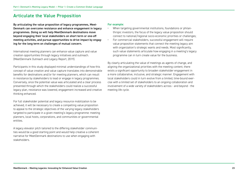# Articulate the Value Proposition

By articulating the value proposition of legacy programmes, Meet-Denmark can overcome resistance and enhance engagement in legacy programmes. Doing so will help MeetDenmark destinations move beyond engaging their local stakeholders on short term or one-off meeting activities, and pursue opportunities to drive impact by engaging for the long term on challenges of mutual concern.

International meeting planners can enhance value capture and value creation opportunities through legacy initiatives and outreach. (MeetDenmark Outreach and Legacy Report, 2019).

Participants in this study displayed minimal understandings of how this concept of value creation and value capture translates into demonstrable benefits for destinations and/or for meeting planners, which can result in resistance by stakeholders to lead or engage in legacy programmes. Conversely, once the potential value was articulated and a clear process presented through which the stakeholders could realize a successful legacy plan, resistance was lowered, engagement increased and creative thinking enhanced.

For full stakeholder potential and legacy resource mobilization to be achieved, it will be necessary to create a compelling value proposition to appeal to the strategic objectives of the varying legacy stakeholders targeted to participate in a given meeting's legacy programme: meeting planners, local hosts, corporations, and communities or governmental entities.

A legacy elevator pitch tailored to the differing stakeholder communities would be a good starting point and would help creative a coherent narrative for MeetDenmark destinations to use when engaging with stakeholders.

#### For example:

• When targeting governmental institutions, foundations or philanthropic investors, the focus of the legacy value proposition should connect to national/regional socio-economic priorities or challenges; • For commercial stakeholders, successful engagement will require value proposition statements that connect the meeting legacy aim with organization's strategic wants and needs. Most significantly,

such value statements articulate how engaging in a meeting's legacy programme can in turn create value for the business.

By clearly articulating the value of meetings as agents of change, and aligning the organizational priorities with the meeting content, there exists a significant opportunity to broaden stakeholder engagement in a more collaborative, inclusive, and strategic manner. Engagement with local stakeholders could in turn evolve from a limited, time-bound exercise with a limited set of stakeholders to an ongoing collaboration and involvement of a wide variety of stakeholders across - and beyond - the meeting life cycle.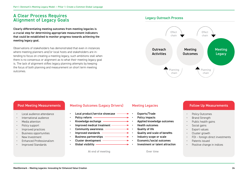# A Clear Process Requires Alignment of Legacy Goals

Clearly differentiating meeting outcomes from meeting legacies is a crucial step for determining appropriate measurement indicators that could be established to monitor progress towards achieving the meeting legacy goal.

Observations of stakeholders has demonstrated that even in instances where meeting planners and/or local hosts and stakeholders are intending to focus on creating a meeting legacy, such ambitions stall when there is no consensus or alignment as to what their meeting legacy goal is. The lack of alignment stifles legacy planning attempts by keeping the focus of both planning and measurement on short term meeting outcomes.

#### Legacy Outreach Process



- Local audience attendance
- International audience
- Media attention
- Policy support
- Improved practices
- Business opportunities
- New Investment
- Enhanced Professionalism
- Improved Standards

#### Post Meeting Measurements Meeting Outcomes (Legacy Drivers) Meeting Legacies

- Local product/service showcase  $-$
- Policy reform  $-$
- Knowledge exchange
- Improved medical treatment ––––––––––––––––
- Community awareness –––––
- Improved standards The Controller Controller
- Business partnerships –
- Cluster development -
- Global visibility  $-$

At end of meeting and the Cover time

- Exports/Trade
- Policy impacts
- **•** Applied knowledge outcomes
	- Health outcomes
- $\rightarrow \cdot$  Quality of life
	- Quality and scale of benefits
	- Industry scope or scale
- Economic/social outcomes
- $\rightarrow$   $\cdot$  Investment or talent attraction

#### Follow Up Measurements

- Policy Outcomes
- **Brand Strength**
- Public health gains
- Social gains
- Export values
- Cluster growth
- FDI foreign direct investments
- Patents issued
- Positive change in indices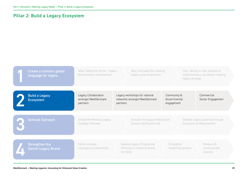# Pillar 2: Build a Legacy Ecosystem

| Create a common global<br>language for legacy       | What: Define the terms - Legacy<br>Nomenclature development | Why: Articulate the meeting<br>legacy value proposition                   |                                           | How: Identify a clear process to<br>implementing a successful meeting<br>legacy strategy |
|-----------------------------------------------------|-------------------------------------------------------------|---------------------------------------------------------------------------|-------------------------------------------|------------------------------------------------------------------------------------------|
| <b>Build a Legacy</b><br><b>Ecosystem</b>           | Legacy Collaboration<br>amongst MeetDenmark<br>partners     | Legacy workshops for national<br>networks amongst MeetDenmark<br>partners | Community &<br>Governmental<br>engagement | Commercial<br>Sector Engagement                                                          |
| <b>Activate Outreach</b>                            | Embed the Meeting Legacy<br>Strategic Pathway               | Activate the Legacy Mobilization<br>process (bid & post bid)              |                                           | Validate Legacy potential through<br>Evaluation & Measurement                            |
| <b>Strengthen the</b><br><b>Danish Legacy Brand</b> | Define strategic<br>messaging fundamentals                  | Develop Legacy Programme<br>Personas to reinforce brand<br>narrative      | Strengthen<br>leadership position         | Measure &<br>communicate<br><b>SUCCESS</b>                                               |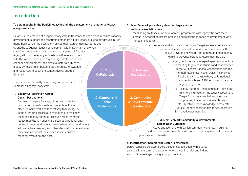# Introduction

#### To obtain equity in the Danish legacy brand, the development of a national legacy ecosystem is key.

Pillar 2 is the creation of a legacy ecosystem in Denmark to enable and mobilize capacity development, support and resourcing amongst all key legacy stakeholder groups in Denmark. Each part of the ecosystem brings their own unique attributes and strengths to support legacy development within Denmark and when <sup>D</sup>enmark'<sup>s</sup> <sup>L</sup>egac<sup>y</sup> <sup>E</sup>cosyste<sup>m</sup> combined become the backbone support system of Denmark's legacy efforts. The legacy ecosystem will seek alignment with the wider, national or regional agenda for social and economic development, and aims to foster a culture of legacy by focusing on building partnerships, knowledge **1. MDK** and resources to boost the competitive strength of Denmark. **Collaboration** 

There are four mutually reinforcing components of Denmark's Legacy Ecosystem:

#### 1. Legacy Collaboration Across Danish Destinations:

Denmark's Legacy Strategy circumvents the traditional focus on destination competition. Instead, MeetDenmark works collaboratively to leverage existing strengths across all destinations to maximize meetings' legacy potential. Through MeetDenmark, legacy mobilization efforts are seen as a national effort not local. Host destinations benefit when other destinations add value to a meeting, and other destinations benefit when they have an opportunity to derive value from a meeting, even if not the host.

#### 2. MeetDenmark proactively elevating legacy at the national association level:

2. National **Associations** 

3. Community & Governmental

**Stakeholders** 

4. Commercial

**Sector Partnerships**  Establishing an Association development programme with legacy the core focus. Denmark's Association programme is going to prioritise capacity development via a range of initiatives:

- a. In-house workshops and trainings Target audience: senior staff and executives of national networks and associations. Objective: Develop knowledge and understanding of legacy thinking; Advance potential future meeting bids;
	- b) Legacy Lectures invite expert speakers to lecture on meeting legacy case studies and best practice. Target Audience: National Associations and (potential) future local hosts; Objective: Provide inspiration, share know-how; build national momentum; brand MDK as driver of national legacy programme.
		- c) Legacy Summits host series of 1 day summits to bring together the legacy ecosystem. Target Audience: Associations, Ministers, Corporates, Academia & Research Leads etc. Objective: Share knowledge, accelerate uptake, identify opportunities for collaboration & innovative partnerships.

#### 3. MeetDenmark Community & Governmental Stakeholder Outreach:

Active engagement with Danish community and local, regional and national government is reinforced through alignment with national priorities and interests.

#### 4. MeetDenmark Commercial Sector Partnerships:

Danish legacies are accelerated through collaboration with diverse partners in the commercial sector who provide financial and in-kind support to meetings- during, at or post event.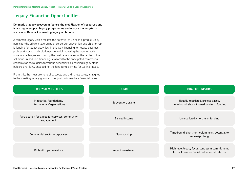# Legacy Financing Opportunities

Denmark's legacy ecosystem fosters the mobilization of resources and financing to support legacy programmes and ensure the long-term success of Denmark's meeting legacy ambitions.

A common legacy vision creates the potential to unleash a productive dynamic for the efficient leveraging of corporate, subvention and philanthropic funding for legacy activities. In this way, financing for legacy becomes problem-focused and solutions-oriented, innovating the way to tackle societal challenges and placing the final beneficiaries at the center of the solutions. In addition, financing is tailored to the anticipated commercial, economic or social gains to various beneficiaries, ensuring legacy stakeholders are highly engaged for the long term, striving for lasting impact.

From this, the measurement of success, and ultimately value, is aligned to the meeting legacy goals and not just on immediate financial gains.

| <b>ECOSYSTEM ENTITIES</b>                                      | <b>SOURCES</b>     | <b>CHARACTERISTICS</b>                                                                         |
|----------------------------------------------------------------|--------------------|------------------------------------------------------------------------------------------------|
| Ministries, foundations,<br>International Organizations        | Subvention, grants | Usually restricted, project-based,<br>time-bound, short- to-medium-term funding                |
| Participation fees, fees for services, community<br>engagement | Earned income      | Unrestricted, short term funding                                                               |
| Commercial sector-corporates                                   | Sponsorship        | Time-bound, short-to-medium term, potential to<br>renew/prolong                                |
| Philanthropic investors                                        | Impact Investment  | High level legacy focus, long term commitment,<br>focus. Focus on Social not financial returns |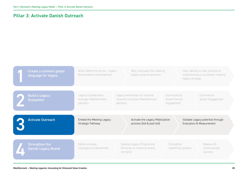# Pillar 3: Activate Danish Outreach

| Create a common global<br>language for legacy       | What: Define the terms - Legacy<br>Nomenclature development | Why: Articulate the meeting<br>legacy value proposition                   |                                           | How: Identify a clear process to<br>implementing a successful meeting<br>legacy strategy |
|-----------------------------------------------------|-------------------------------------------------------------|---------------------------------------------------------------------------|-------------------------------------------|------------------------------------------------------------------------------------------|
| <b>Build a Legacy</b><br><b>Ecosystem</b>           | Legacy Collaboration<br>amongst MeetDenmark<br>partners     | Legacy workshops for national<br>networks amongst MeetDenmark<br>partners | Community &<br>Governmental<br>engagement | Commercial<br>Sector Engagement                                                          |
| <b>Activate Outreach</b>                            | Embed the Meeting Legacy<br>Strategic Pathway               | Activate the Legacy Mobilization<br>process (bid & post bid)              |                                           | Validate Legacy potential through<br>Evaluation & Measurement                            |
| <b>Strengthen the</b><br><b>Danish Legacy Brand</b> | Define strategic<br>messaging fundamentals                  | Develop Legacy Programme<br>Personas to reinforce brand<br>narrative      | Strengthen<br>leadership position         | Measure &<br>communicate<br><b>SUCCESS</b>                                               |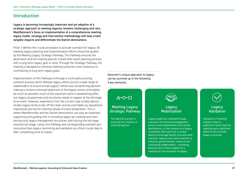# Introduction

Legacy is becoming increasingly important and yet adoption of a strategic approach to meeting legacies remains challenging and rare. MeetDenmark's focus on implementation of a comprehensive meeting legacy model, strategy and intervention methodology will help create tangible impacts and differentiate the Danish destinations.

Pillar 3 defines the crucial processes to activate outreach for legacy. All meeting legacy planning and implementation efforts should be guided by the Meeting Legacy Strategic Pathway. This Pathway ensures the destination and the meeting planner initiate their event planning process with a long-term legacy goal in mind. Through the Strategic Pathway, the meeting is designed to enhance meeting outcomes most conducive to contributing to long term legacy goals.

Implementation of this Pathway is through a continually evolving outreach process which diffuses legacy efforts across a wide range of stakeholders to ensure broad support, whilst also streamlining decision making to ensure continued alignment to the legacy visions articulated. As much as possible, much of the important work in establishing effective legacy programmes and structures needs to happen at the bid stage of an event. However, experience from the current case studies demonstrates legacy tends to fall off the radar and be overridden by operational imperatives during the intensive phase of event preparation. This is where MeetDenmark and the Danish destinations can play an important supporting and guiding role in activating legacy by creating and maintaining local legacy management structures, both during the bid stage and post bid stage. Lastly, this Pathway and corresponding outreach process prescribes legacy monitoring and validation as a final crucial step to offer compelling proof of impact.

Denmark's unique approach to legacy can be summed up in the following 3 key elements:

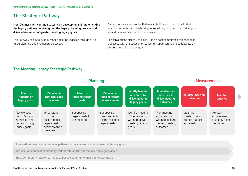# The Strategic Pathway

MeetDenmark will continue to work on developing and implementing the legacy pathway to strengthen the legacy planning process and drive achievement of greater meeting legacy goals.

The Pathway seeks to build stronger meeting legacies through structured planning and evaluation processes.

Danish bureaus can use the Pathway to build support for bids in their local communities, and to develop value adding propositions to strengthen and differentiate their bid proposals.

For conventions already secured, Danish host committees can engage in a process with the association to identify opportunities to collaborate on pursuing meeting legacy goals.

# The Meeting Legacy Strategic Pathway



International Association follows pathway to pursue association's meeting legacy goals

Association and host community collaborate on the shared meeting legacy goals

Host Community follows pathway to pursue community meeting legacy goals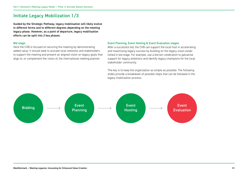# Initiate Legacy Mobilization 1/3

Guided by the Strategic Pathway, legacy mobilisation will likely evolve in different forms and to different degrees depending on the meeting legacy phase. However, as a point of departure, legacy mobilisation efforts can be split into 2 key phases:

#### Bid stage:

Here the CVB is focused on securing the meeting by demonstrating added value. It should seek to activate local networks and stakeholders to support the meeting and present an aligned vision on legacy goals that align to, or complement the vision of, the international meeting planner.

#### Event Planning, Event Hosting & Event Evaluation stages:

After a successful bid, the CVB can support the local host in accelerating and maximising legacy success by building on the legacy vision established in bid stage. For example, use a bid-win celebration to galvanise support for legacy ambitions and identify legacy champions for the local stakeholder community.

The key is to keep the organization as simple as possible. The following slides provide a breakdown of possible steps that can be followed in the legacy mobilization process.

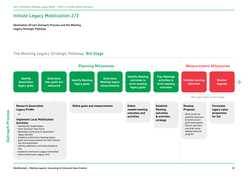# Initiate Legacy Mobilization 2/3

Destination Driven Outreach Process and the Meeting Legacy Strategic Pathway

### The Meeting Legacy Strategic Pathway: Bid Stage

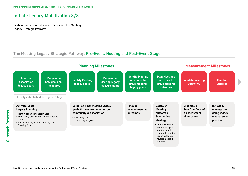# Initiate Legacy Mobilization 3/3

Destination Driven Outreach Process and the Meeting Legacy Strategic Pathway

# The Meeting Legacy Strategic Pathway: Pre-Event, Hosting and Post-Event Stage

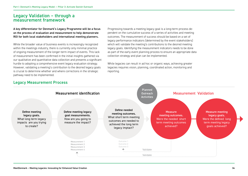# Legacy Validation – through a measurement framework

A key differentiator for Denmark's Legacy Programme will be a focus on the process of evaluation and measurement to help demonstrate ROI for both local stakeholders and international meeting planners.

While the broader value of business events is increasingly recognized within the meetings industry, there is currently only minimal practice of ongoing measurement of the longer-term impact of events. This lack of measurement has been confirmed in the initial insights gathered via our qualitative and quantitative data collection and presents a significant hurdle to adopting a comprehensive event legacy evaluation strategy. However, validating a meeting's contribution to the desired legacy goals is crucial to determine whether and where corrections in the strategic pathway need to be implemented.

Progressing towards a meeting legacy goal is a long-term process dependent on the cumulative success of a series of activities and meeting outcomes. The measurement of success should be based on a set of legacy performance indicators (determined by the event stakeholders) which will validate the meeting's contributions to the desired meeting legacy goals. Identifying the measurement indicators needs to be done as part of the early event planning process to ensure an appropriate data collection strategy and plan can be implemented.

While legacies can result in ad hoc or organic ways, achieving greater legacies requires vision, planning, coordinated action, monitoring and reporting.



#### Legacy Measurement Process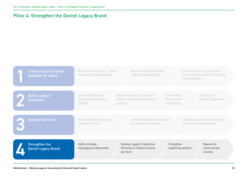# Pillar 4: Strengthen the Danish Legacy Brand

| Create a common global<br>language for legacy       | What: Define the terms - Legacy<br>Nomenclature development | Why: Articulate the meeting<br>legacy value proposition                   |                                           | How: Identify a clear process to<br>implementing a successful meeting<br>legacy strategy |
|-----------------------------------------------------|-------------------------------------------------------------|---------------------------------------------------------------------------|-------------------------------------------|------------------------------------------------------------------------------------------|
| <b>Build a Legacy</b><br><b>Ecosystem</b>           | Legacy Collaboration<br>amongst MeetDenmark<br>partners     | Legacy workshops for national<br>networks amongst MeetDenmark<br>partners | Community &<br>Governmental<br>engagement | Commercial<br>Sector Engagement                                                          |
| <b>Activate Outreach</b>                            | Embed the Meeting Legacy<br>Strategic Pathway               | Activate the Legacy Mobilization<br>process (bid & post bid)              |                                           | Validate Legacy potential through<br><b>Evaluation &amp; Measurement</b>                 |
| <b>Strengthen the</b><br><b>Danish Legacy Brand</b> | Define strategic<br>messaging fundamentals                  | Develop Legacy Programme<br>Personas to reinforce brand<br>narrative      | Strengthen<br>leadership position         | Measure &<br>communicate<br><b>SUCCESS</b>                                               |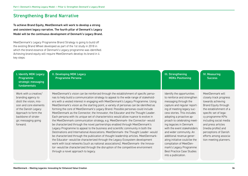# Strengthening Brand Narrative

To achieve Brand Equity, MeetDenmark will work to develop a strong and consistent legacy narrative. The fourth pillar of Denmark's Legacy Model will be the continuous development of Denmark's Legacy Brand.

MeetDenmark's Legacy Programme Brand Strategy is going to build off the existing Brand Wheel developed as part of the 1st study in 2018 in which the brand essence of Denmark's Legacy programme was identified. Achieving brand equity will require MeetDenmark develop its brand in 4 key steps:

| <b>I. Identify MDK Legacy</b> |
|-------------------------------|
| Programme                     |
| strategic messaging           |
| fundamentals                  |

Work with a creative/ branding agency to distil the vision, mission and core elements of the Danish Legacy Approach to form the backbone of strategic messaging going forward.

II. Developing MDK Legacy Programme Persona

MeetDenmark's vision can be reinforced through the establishment of specific personas to help build a communication strategy to appeal to the wide range of stakeholders with a vested interest in engaging with MeetDenmark's Legacy Programme. Using MeetDenmark's vision as the starting point, a variety of personas can be identified as forming the core of MeetDenmark's Legacy Brand. Possible personas could include MeetDenmark as the Connector, the Innovator, the Educator and the Thought Leader. Each persona with its unique set of characteristics would allow nuance to evolve in the MeetDenmark communication strategy, e.g. MeetDenmark- the Connector- would be characterized through the novel partnerships enabled through MeetDenmark's Legacy Programme to appeal to the business and scientific community in both the Destinations and International Associations. MeetDenmark- the Thought Leader- would be characterized through the publication of thought leadership articles. MeetDenmarkthe Educator- would be characterized through the Legacy Ecosystem development work with local networks (such as national associations). MeetDenmark- the Innovator- would be characterized through the disruption of the competitive environment through a novel approach to legacy.

Identify the opportunities to reinforce and strengthen messaging through the capture and regular reporting of meeting legacy success stories. This includes adopting a proactive approach to celebrating meeting legacies in Denmark with the event stakeholders and wider community. An additional revenue generating initiative could be the compilation of MeetDenmark's Legacy Programme Best Practice Case Studies into a publication.

III. Strengthening

MDKs Positioning

MeetDenmark will closely track progress towards achieving Brand Equity through the establishment of a specific set of legacy programme KPIs including social media and press articles (media profile) and perceptions of Danish efforts among association meeting planners.

IV. Measuring **Success** 

#### MeetDenmark – Meeting Legacies: Innovating for Enhanced Value Creation 36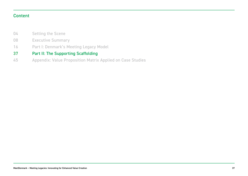# Content

- Setting the Scene 04
- Executive Summary 08
- Part I: Denmark's Meeting Legacy Model 16

#### Part II: The Supporting Scaffolding 37

Appendix: Value Proposition Matrix Applied on Case Studies 45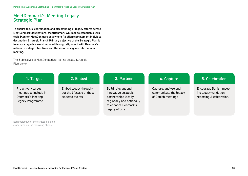# MeetDenmark's Meeting Legacy Strategic Plan

To ensure focus, coordination and streamlining of legacy efforts across MeetDenmark destinations, MeetDenmark will look to establish a Strategic Plan for MeetDenmark as a whole (to align/complement individual destination Strategic Plans). Primary objective of the Strategic Plan is to ensure legacies are stimulated through alignment with Denmark's national strategic objectives and the vision of a given international meeting.

The 5 objectives of MeetDenmark's Meeting Legacy Strategic Plan are to:

| 1. Target                                                                             | 2. Embed                                                               | 3. Partner                                                                                                                                 | 4. Capture                                                           | 5. Celebration                                                                      |
|---------------------------------------------------------------------------------------|------------------------------------------------------------------------|--------------------------------------------------------------------------------------------------------------------------------------------|----------------------------------------------------------------------|-------------------------------------------------------------------------------------|
| Proactively target<br>meetings to include in<br>Denmark's Meeting<br>Legacy Programme | Embed legacy through-<br>out the lifecycle of these<br>selected events | Build relevant and<br>innovative strategic<br>partnerships locally,<br>regionally and nationally<br>to enhance Denmark's<br>legacy efforts | Capture, analyze and<br>communicate the legacy<br>of Danish meetings | <b>Encourage Danish meet-</b><br>ing legacy validation,<br>reporting & celebration. |

Each objective of the strategic plan is elaborated on the following slides.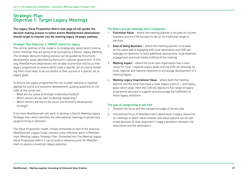# Strategic Plan Objective 1: Target Legacy Meetings

The Legacy Value Proposition Matrix (see page 42-44) guides the decision-making process to select events MeetDenmark destinations should target to channel into the meeting legacy strategic pathway.

#### Strategic Plan Objective 1: TARGET events for legacy

The central premise of the model is to strategically select which international meetings that are going to be pursued as a Danish Legacy Meeting. The strategic decision-making process can be guided by the priority development areas identified by Denmark's national government. In this way, MeetDenmark destinations will be able to prioritize and focus their legacy programme on events which meet a specific set of criteria rendering them most likely to be successful in their pursuit of a specific set of legacy goals.

To ensure the legacy programme fits into a wider national or regional agenda for social and economic development, guiding questions to consider at the outset are:

- What are our areas of strength (nationally/locally)?
- Which sectors do we want to develop leadership?
- Which sectors are key to the social and economic development strategy?

From here MeetDenmark will work to develop a Danish Meeting Legacy Strategic Plan which identifies the international meetings to proactively target to bring to Denmark.

The Value Proposition model, initially presented as part of the previous MeetDenmark Legacy Study, remains a key reference point in MeetDenmark Meeting Legacy Strategic Plan. Converted into The Meeting Legacy Value Proposition Matrix it can provide a reference point for MeetDenmark to assess a meeting's legacy potential.

#### The Matrix groups meetings into 4 categories:

- 1. Functional Value where the meeting planner is focused on volume business and the CVB focuses its bid on its traditional range of services.
- 2. Ease of Doing Business where the meeting planner is focused on the value add of engaging with local destination and CVB can leverage its networks to raise additional sponsorship, local expertise engagement and local media profiling of the meeting.
- 3. Meeting Impact where the local host organization has a clear vision for local / regional legacy goals and the CVB can leverage its local, regional and national networks to encourage development of a meeting legacy.
- 4. Meeting Legacy Inspirational Value where both the meeting planner and the local host have a clear legacy vision/s – and legacy goals which align. Here the CVB will deploy its full range of legacy programme services to support and encourage the fulfillment of these legacy ambitions

#### The goal of categorizing is two-fold:

- 1. Sharpen the focus and the competitive edge of Danish bids
- 2. Concentrate focus of MeetDenmark's destination's legacy resources on meetings in which value creation and value capture can be optimized because of clear alignment in legacy ambitions between the association and the destination.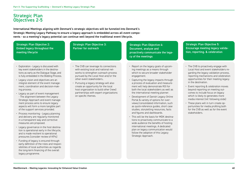# Strategic Plan Objectives 2-5

International Meetings aligning with Denmark's strategic objectives will be funneled into Denmark's Strategic Meeting Legacy Pathway to ensure a legacy approach is embedded across all event components - so a meeting's legacy potential can continue well beyond the traditional event lifecycle.

Strategic Plan Objective 2: Embed legacy throughout the meeting lifecycle

Strategic Plan Objective 3: Partner for outreach

Strategic Plan Objective 4: Document, analyze and proactively communicate the legacy of the meetings

Strategic Plan Objective 5: Encourage meeting legacy validation, reporting. & celebration

- Exploration Legacy is discussed with key event stakeholders in the destinations as early as the Dialogue Stage, and is fully embedded in the Bidding Process.
- Legacy vision and objectives are an integral element of the event management, coordination and decision-making process.
- Legacy as part of event management - The alignment between the Legacy Strategic Approach and event management process aims to ensure legacy aspects will form a more tangible part of the support services provided.
- Process monitoring Legacy planning and delivery are regularly monitored in a transparent way and corrective measures are proposed.
- Legacy governance in the host destination is operational early in the lifecycle, and is made resilient to operational pressures (consider review of KPIs)
- Funding of legacy is ensured through early definition of the roles and responsibilities of local authorities as regards the long-term financing of the overall legacy programme.
- The CVB can leverage its connections with existing local and national networks to strengthen outreach process pursued by the Local Host and/or the other event stakeholders..
- Pursuing a legacy strategy will also create an opportunity for the local host organization to build other (new) partnerships with expert organizations on specific themes.
- Report on the legacy goals of upcoming meetings as a means through which to secure broader stakeholder engagement.
- Capturing the legacy impacts through a process of evaluation and measurement will help demonstrate ROI for both the local stakeholders as well as the international meeting planner.
- Development of Danish Legacy Online Portal & variety of options for overviews/consolidated information, such as quick-reference guides, short case studies, storytelling resources, facts and figures and dashboards.
- This will be the basis for MDK destinations to proactively communicate to a wide audience the benefits of hosting international meetings. A dedicated plan on legacy communication would follow the adoption of this Legacy Strategic Approach.
- The CVB to proactively engage with Local Host and event stakeholders regarding the legacy validation process, reporting mechanisms and celebration opportunities for their meeting legacy in the destination.
- Event reporting & celebration moves beyond reporting on meeting outcomes to include focus on legacy which is likely to generates more media interest (ref. following slide)
- These plans will in turn create opportunities for media profiling both for the CVB as well as for the event stakeholders.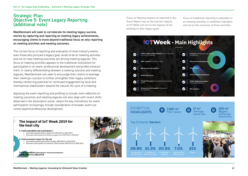# Strategic Plan Objective 5: Event Legacy Reporting (additional note)

MeetDenmark will seek to corroborate its meeting legacy success stories by capturing and reporting on meeting legacy achievements, encouraging clients to move beyond traditional focus on only reporting on meeting activities and meeting outcomes.

The current focus of reporting and evaluation of most industry events, even those who pursued a legacy goal, tends to be on meeting activities and not on how meeting outcomes are driving meeting legacies. This focus on meeting activities appeals to the traditional motivations for participation in an event, professional development and profile enhancement. In clearly differentiating between a meeting outcome and meeting legacies, MeetDenmark will seek to encourage their clients to leverage their meeting's success to further strengthen their legacy ambitions, thereby reinforcing potential for continued engagement by local and international stakeholders beyond the natural life cycle of a meeting.

Adjusting the event reporting and profiling to include more reflection on meeting outcomes and meeting legacies will also align with recent shifts observed in the Association sector, where the key motivations for event participation increasingly include consideration of broader event outcomes beyond professional development.

#### The impact of IoT Week 2019 for the host city

3. Total expenditure per participant(3):

- International participants range from 951,25  $\epsilon$  to 1267,50  $\epsilon$
- Domestic participant (not Aarhus) range from 570,75  $\epsilon$  to 760,50  $\epsilon$

#### 4. Total economic impact for the city

International participants (515 people): 489.983 € to 652.762 € Domestic participants (not Aarhus: 1.063 people): 606.707  $\epsilon$  to 808.411  $\epsilon$ 

Total expenditure (international + domestic participants): 1.096.690 € to 1.461.173 €



Focus on Meeting Impacts as reported in this Event Report was on the tourism impacts of IoT Week and not on the impacts of the meeting on their legacy goals

Focus of traditional reporting to attendees is on meeting activities or exhibition highlights and not on the outcomes of those activities



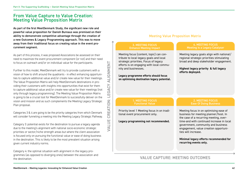# From Value Capture to Value Creation: Meeting Value Proposition Matrix

As part of the first MeetDenmark Study, the significant new role and powerful value proposition for Danish Bureaus was premised on their ability to demonstrate competitive advantage through the creation of a new Outcomes & Legacy Programming approach. This was to move away from their traditional focus on creating value in the event procurement segment.

As part of this process, it was proposed Associations be assessed on their need to maximize the event procurement component (or not) and their need to focus on outreach and/or on individual value for the participants.

Further to this model, MeetDenmark will try to provide customers with a vision of how to shift around the quadrants - in effect enhancing opportunities to capture additional value and/or create new value for their meetings. The Value Proposition Matrix will help MeetDenmark destinations in providing their customers with insights into opportunities that exist for them to capture additional value and/or create new value for their meetings (not only through legacy programming). The Meeting Value Proposition Matrix is going to be a crucial tool for MeetDenmark to successfully deliver on the vision and mission and as such complements the Meeting Legacy Strategic Plan proposal.

Categories 3 & 4 are going to be the priority categories from which Denmark will consider funneling a meeting into the Meeting Legacy Strategic Pathway.

Category 3: potential exists for the destination to pursue a legacy agenda due to the meeting's alignment with national socio-economic strategic priorities or sector/niche strength areas but where the client association is focused only on pursuing the functional value or ease of doing business in the destination. This is likely to be the most prevalent situation arising given current industry norms.

Category 4: the optimal situation with alignment in the legacy programmes (as opposed to diverging ones) between the association and the destination.

ALIGNMENT VALUE CREATION: LEGACY ALIGNMENT CREATION: LEGACY **VALUE** 

#### Meeting Value Proposition Matrix

#### 3. MEETING FOCUS Enhance Meeting Impact

Meeting focus (content, topic) can contribute to local legacy goals and local strategic priorities. Focus of legacy efforts is on engaging with local community and businesses.

**Legacy programme efforts should focus on optimising destination legacy potential.**

> 1. MEETING FOCUS Functional Value

tional event procurement only.

#### 4. MEETING FOCUS Meeting is a Legacy Catalyser

Meeting legacy goals align with national/ regional strategic priorities stimulating broad and deep stakeholder engagement. **Highest legacy priority & full legacy efforts deployed.** Meeting focus in on optimising ease of business for meeting planner/host. In the case of a recurring meeting, over-Priority level 1 Meeting focus in on tradi-**Legacy programming not recommended.** 2. MEETING FOCUS Ease Of Doing Business

time-and with continued increase in local government, community and business engagement, value creation opportunities will increase.

**Minimal legacy efforts recommended for recurring events only.**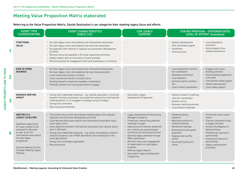# Meeting Value Proposition Matrix elaborated

Referring to the Value Proposition Matrix, Danish Destination's can categorize their meeting legacy focus and efforts.

|                | <b>EVENT TYPE</b><br><b>CLASSIFICATION</b>                                                                                                                                                                                                                                                  | <b>EVENT CHARACTERISTICS</b><br><b>CHECK LIST:</b>                                                                                                                                                                                                                                                                                                                                                                                                                                                                                                                   | <b>CVB LEGACY</b><br><b>SUPPORT</b>                                                                                                                                                                                                                                                                                                                                                                                                                              | <b>CVB BID PROPOSAL - DIFFERENTIATED</b><br><b>LEVEL OF EFFORT- (examples)</b>                                                                                                                                                                                                                                                                                                                                                                                                                       |
|----------------|---------------------------------------------------------------------------------------------------------------------------------------------------------------------------------------------------------------------------------------------------------------------------------------------|----------------------------------------------------------------------------------------------------------------------------------------------------------------------------------------------------------------------------------------------------------------------------------------------------------------------------------------------------------------------------------------------------------------------------------------------------------------------------------------------------------------------------------------------------------------------|------------------------------------------------------------------------------------------------------------------------------------------------------------------------------------------------------------------------------------------------------------------------------------------------------------------------------------------------------------------------------------------------------------------------------------------------------------------|------------------------------------------------------------------------------------------------------------------------------------------------------------------------------------------------------------------------------------------------------------------------------------------------------------------------------------------------------------------------------------------------------------------------------------------------------------------------------------------------------|
|                | <b>FUNCTIONAL</b><br><b>VALUE</b>                                                                                                                                                                                                                                                           | • No clear legacy vision articulated by the International Association<br>• No clear legacy vision articulated by the local host association<br>• No alignment with national or regional socio/economic development<br>priorities<br>• Minimal resources available in the local organizing committee<br>• Global rotation with no recurrence of event foreseen<br>• Minimal potential for engagement with local businesses or ministries                                                                                                                              |                                                                                                                                                                                                                                                                                                                                                                                                                                                                  | · Sponsor development<br>• Local attendance<br>promotion<br>• Host committee support<br>• Host prospects from<br>· Subvention<br>related associations<br>• Technical tours                                                                                                                                                                                                                                                                                                                           |
| $\overline{2}$ | <b>EASE OF DOING</b><br><b>BUSINESS</b>                                                                                                                                                                                                                                                     | • No clear legacy vision articulated by the International Association<br>• No clear legacy vision articulated by the local host association<br>• Local community interest in content<br>• Local commercial interest in product focus<br>• Existing network of expertise available in destination<br>• Potential interest from local government to engage                                                                                                                                                                                                             |                                                                                                                                                                                                                                                                                                                                                                                                                                                                  | • Engage local corps/<br>• Local programme commit-<br>(hosting/content)<br>tee coordination<br>• Attendance promotion<br>· Governmental programme<br>committee<br>• Local speakers<br>· International media support<br>· Ancillary events coordina-<br>· Feature development<br>tion<br>• Local content coordination<br>• Local media support                                                                                                                                                        |
| 3              | <b>ENHANCE MEETING</b><br><b>IMPACT</b>                                                                                                                                                                                                                                                     | · Strong local stakeholder potential - e.g. national association, university,<br>research institute, businesses, local expertise network but international<br>meeting planner is not engaged in strategic pursuit of legacy.<br>· Strong host committee<br>• Returning Event Potential                                                                                                                                                                                                                                                                               | • Association Legacy<br>Development Programme                                                                                                                                                                                                                                                                                                                                                                                                                    | • Advance research matching<br>· Jobs fair coordination<br>• Network clinics<br>• Business matching services<br>• Local product showcase                                                                                                                                                                                                                                                                                                                                                             |
| 4              | <b>MEETING IS A</b><br><b>LEGACY CATALYSER</b><br>Significant opportunity<br>for value creation to be<br>achieved (in Denmark<br>as well as for the<br>International Association)<br>through legacy<br>programme.<br>Channel Meeting into the<br><b>Strategic Meeting Legacy</b><br>Pathway | • The Content focus of the international meeting aligns with national/<br>regional socio/economic development priorities<br>• Local National Association and/or the international association has a<br>clear legacy vision<br>· Close alignment between international association and national associ-<br>ation in Denmark<br>· Strong local stakeholder potential - e.g. center of excellence, research<br>institute situated in one of MDK destinations (not necessarily in the<br>event destination)<br>· Strong host committee organization<br>• Recurring event | • Legacy Development & Monitoring<br>Manager focused on:<br>• Proactively researching potential<br>meetings to target<br>· Aligning local & national stakehold-<br>ers-commercial, governmental,<br>community pre bid ad post bid win<br>• Optimize legacy potential through<br>MDK coordination<br>• Mid Term Post event engagement<br>of stakeholders to track legacy<br>progress<br>• Meeting Legacy Reports<br>• Association Legacy Development<br>Programme | · Standards/policy<br>• Community event coordi-<br>taskforce<br>nation<br>• Matching investors to<br>• Channel subvention funds<br>related ministries<br>to legacy activities<br>• Annual City/Regional or<br>· Ministerial meetings<br>National theme<br>• Event/government goals<br>alignment<br>• Philanthropic sponsors/<br>partnerships<br>• Staging news worthy<br>• Commercial sponsors/<br>events<br>partnerships<br>· Securing/hosting lumi-<br>• Legacy measurement<br>naries<br>processes |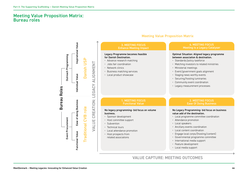## Meeting Value Proposition Matrix: Bureau roles

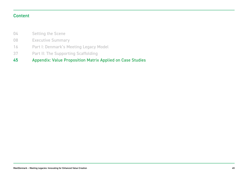# Content

- Setting the Scene 04
- Executive Summary 08
- Part I: Denmark's Meeting Legacy Model 16
- Part II: The Supporting Scaffolding 37
- Appendix: Value Proposition Matrix Applied on Case Studies 45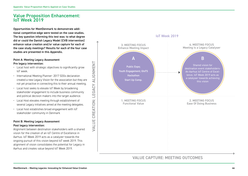# Value Proposition Enhancement: IoT Week 2019

Opportunities for MeetDenmark to demonstrate additional competitive-edge were tested on the case studies. The key question informing this test was: to what degree did or could the Danish Legacy Model (CVB intervention) enhance value creation and/or value capture for each of the case study meetings? Results for each of the four case studies are presented in this Appendix.

#### Point A: Meeting Legacy Assessment Pre legacy intervention:

- Local host with strategic objectives to significantly grow IoT week.
- International Meeting Planner- 2017 SDGs declaration created a new Legacy Vision for the association but they are not yet proactive in connecting this to their annual meeting.
- Local host seeks to elevate IoT Week by broadening stakeholder engagement to include business community and political decision makers into the target audience.

VALUE CREATION: LEGACY ALIGNMENT

VALUE

- Local Host elevates meeting through establishment of several Legacy initiatives aimed at the meeting delegates.
- Local host establishes broad engagement with IoT stakeholder community in Denmark

#### Point B: Meeting Legacy Assessment Post legacy intervention:

Alignment between destination stakeholders with a shared vision for the creation of an IoT Centre of Excellence in Aarhus. IoT Week 2019 acts as a catalyzer towards the ongoing pursuit of this vision beyond IoT week 2019. This alignment of vision consolidates the potential for Legacy in Aarhus and creates value beyond IoT Week 2019.

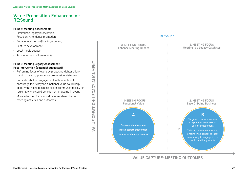# Value Proposition Enhancement: RE:Sound

#### Point A: Meeting Assessment:

- Limited/no legacy intervention. Focus on: Attendance promotion
- Engage local corps/(hosting/content)
- Feature development
- Local media support
- Promotion of ancillary events

#### Point B: Meeting Legacy Assessment Post Intervention (potential suggested):

- Reframing focus of event by proposing tighter alignment to meeting planner's core mission statement.
- Early stakeholder engagement with local host to encourage focus beyond functional value could help identify the niche business sector community locally or regionally who could benefit from engaging in event
- More advanced focus could have rendered better meeting activities and outcomes

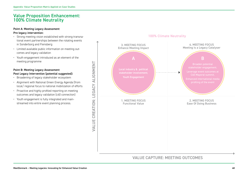# Value Proposition Enhancement: 100% Climate Neutrality

#### Point A: Meeting Legacy Assessment

#### Pre legacy intervention:

- Strong meeting vision established with strong transnational event partnerships between the rotating events in Sonderborg and Flensberg
- Limited available public information on meeting outcomes and legacy validation
- Youth engagement introduced as an element of the meeting programme

#### Point B: Meeting Legacy Assessment Post Legacy Intervention (potential suggested):

- Broadening of legacy stakeholder ecosystem
- Alignment with National Green Energy Agenda (from local/ regional focus to national mobilization of efforts
- Proactive and highly profiled reporting on meeting outcomes and legacy validation (c40 connection)
- Youth engagement is fully integrated and mainstreamed into entire event planning process.

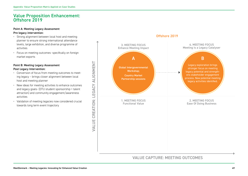# Value Proposition Enhancement:  $Offshore<sub>2</sub>019$

#### Point A: Meeting Legacy Assessment

#### Pre legacy intervention:

- Strong alignment between local host and meeting planner to ensure strong international attendance levels, large exhibition, and diverse programme of activities
- Focus on meeting outcomes- specifically on foreign market exports

#### Point B: Meeting Legacy Assessment Post Legacy Intervention:

- Conversion of focus from meeting outcomes to meeting legacy – brings closer alignment between local host and meeting planner
- New ideas for meeting activities to enhance outcomes and legacy goals- (DTU student sponsorship > talent attraction) and community engagement/awareness activities

VALUE CREATION: LEGACY ALIGNMENT

**VALUE** 

CREATION: LEGACY ALIGNMENT

• Validation of meeting legacies now considered crucial towards long term event trajectory